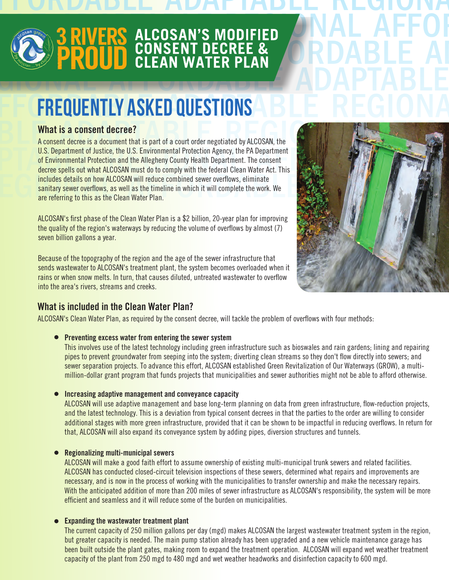AFFORDABLE ADAPTABLE REGIONAL AFFORD



# **ABLE ADAPTABLE ADAPTED ADAPTED COPROUD CONSENT DECREE & ORDABLE AI** EGIONAL AFFORDABLE

# FF FREQUENTLY ASKED QUESTIONS A BLE REGIONA

#### **What is a consent decree?**

U.S. Department of Justice, the U.S. Environmental Protection Agency, the PA Department<br>of Environmental Protection and the Allegheny County Health Department. The consent<br>decree spells out what ALCOSAN must do to comply w includes details on how ALCOSAN will reduce combined sewer overflows, eliminate<br>sanitary sewer overflows, as well as the timeline in which it will complete the work. We<br>are referring to this as the Clean Water Plan. A consent decree is a document that is part of a court order negotiated by ALCOSAN, the U.S. Department of Justice, the U.S. Environmental Protection Agency, the PA Department of Environmental Protection and the Allegheny County Health Department. The consent decree spells out what ALCOSAN must do to comply with the federal Clean Water Act. This includes details on how ALCOSAN will reduce combined sewer overflows, eliminate sanitary sewer overflows, as well as the timeline in which it will complete the work. We are referring to this as the Clean Water Plan.

ALCOSAN's first phase of the Clean Water Plan is a \$2 billion, 20-year plan for improving the quality of the region's waterways by reducing the volume of overflows by almost (7) seven billion gallons a year.

Because of the topography of the region and the age of the sewer infrastructure that sends wastewater to ALCOSAN's treatment plant, the system becomes overloaded when it rains or when snow melts. In turn, that causes diluted, untreated wastewater to overflow into the area's rivers, streams and creeks.



# **What is included in the Clean Water Plan?**

ALCOSAN's Clean Water Plan, as required by the consent decree, will tackle the problem of overflows with four methods:

 **Preventing excess water from entering the sewer system**

 This involves use of the latest technology including green infrastructure such as bioswales and rain gardens; lining and repairing pipes to prevent groundwater from seeping into the system; diverting clean streams so they don't flow directly into sewers; and sewer separation projects. To advance this effort, ALCOSAN established Green Revitalization of Our Waterways (GROW), a multi million-dollar grant program that funds projects that municipalities and sewer authorities might not be able to afford otherwise.

 **Increasing adaptive management and conveyance capacity**

 ALCOSAN will use adaptive management and base long-term planning on data from green infrastructure, flow-reduction projects, and the latest technology. This is a deviation from typical consent decrees in that the parties to the order are willing to consider additional stages with more green infrastructure, provided that it can be shown to be impactful in reducing overflows. In return for that, ALCOSAN will also expand its conveyance system by adding pipes, diversion structures and tunnels.

#### **Regionalizing multi-municipal sewers**

 ALCOSAN will make a good faith effort to assume ownership of existing multi-municipal trunk sewers and related facilities. ALCOSAN has conducted closed-circuit television inspections of these sewers, determined what repairs and improvements are necessary, and is now in the process of working with the municipalities to transfer ownership and make the necessary repairs. With the anticipated addition of more than 200 miles of sewer infrastructure as ALCOSAN's responsibility, the system will be more efficient and seamless and it will reduce some of the burden on municipalities.

#### **Expanding the wastewater treatment plant**

 The current capacity of 250 million gallons per day (mgd) makes ALCOSAN the largest wastewater treatment system in the region, but greater capacity is needed. The main pump station already has been upgraded and a new vehicle maintenance garage has been built outside the plant gates, making room to expand the treatment operation. ALCOSAN will expand wet weather treatment capacity of the plant from 250 mgd to 480 mgd and wet weather headworks and disinfection capacity to 600 mgd.